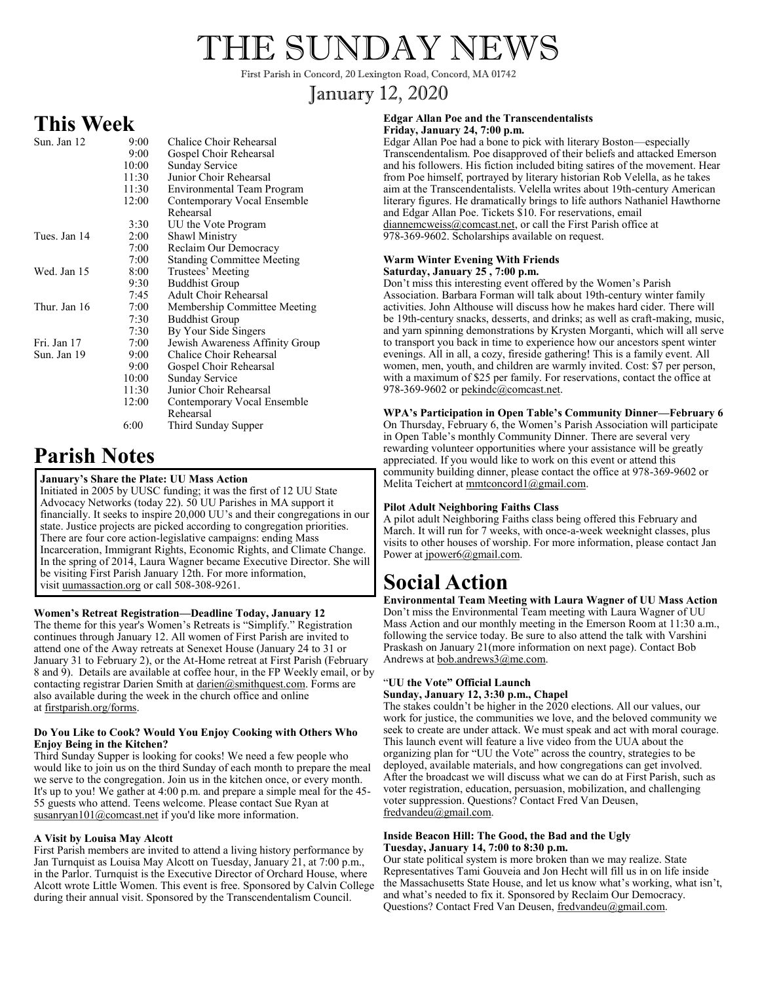# THE SUNDAY NEWS

First Parish in Concord, 20 Lexington Road, Concord, MA 01742

### January 12, 2020

### **This Week**

| Sun. Jan 12  | 9:00       | Chalice Choir Rehearsal           |
|--------------|------------|-----------------------------------|
|              | 9:00       | Gospel Choir Rehearsal            |
|              | 10:00      | <b>Sunday Service</b>             |
|              | 11:30      | Junior Choir Rehearsal            |
|              | 11:30      | Environmental Team Program        |
|              | 12:00      | Contemporary Vocal Ensemble       |
|              |            | Rehearsal                         |
|              | 3:30       | UU the Vote Program               |
| Tues. Jan 14 | 2:00       | <b>Shawl Ministry</b>             |
|              | 7:00       | Reclaim Our Democracy             |
|              | 7:00       | <b>Standing Committee Meeting</b> |
| Wed. Jan 15  | 8:00       | Trustees' Meeting                 |
|              | 9:30       | <b>Buddhist Group</b>             |
|              | 7:45       | <b>Adult Choir Rehearsal</b>      |
| Thur. Jan 16 | 7:00       | Membership Committee Meeting      |
|              | 7:30       | <b>Buddhist Group</b>             |
|              | 7:30       | By Your Side Singers              |
| Fri. Jan 17  | 7:00       | Jewish Awareness Affinity Group   |
| Sun. Jan 19  | $9:00^{-}$ | Chalice Choir Rehearsal           |
|              | 9:00       | Gospel Choir Rehearsal            |
|              | 10:00      | <b>Sunday Service</b>             |
|              | 11:30      | Junior Choir Rehearsal            |
|              | 12:00      | Contemporary Vocal Ensemble       |
|              |            | Rehearsal                         |
|              | 6:00       | Third Sunday Supper               |

## **Parish Notes**

#### **January's Share the Plate: UU Mass Action**

Initiated in 2005 by UUSC funding; it was the first of 12 UU State Advocacy Networks (today 22). 50 UU Parishes in MA support it financially. It seeks to inspire 20,000 UU's and their congregations in our state. Justice projects are picked according to congregation priorities. There are four core action-legislative campaigns: ending Mass Incarceration, Immigrant Rights, Economic Rights, and Climate Change. In the spring of 2014, Laura Wagner became Executive Director. She will be visiting First Parish January 12th. For more information, visit uumassaction.org or call 508-308-9261.

#### **Women's Retreat Registration—Deadline Today, January 12**

The theme for this year's Women's Retreats is "Simplify." Registration continues through January 12. All women of First Parish are invited to attend one of the Away retreats at Senexet House (January 24 to 31 or January 31 to February 2), or the At-Home retreat at First Parish (February 8 and 9). Details are available at coffee hour, in the FP Weekly email, or by contacting registrar Darien Smith at darien@smithquest.com. Forms are also available during the week in the church office and online at firstparish.org/forms.

#### **Do You Like to Cook? Would You Enjoy Cooking with Others Who Enjoy Being in the Kitchen?**

Third Sunday Supper is looking for cooks! We need a few people who would like to join us on the third Sunday of each month to prepare the meal we serve to the congregation. Join us in the kitchen once, or every month. It's up to you! We gather at 4:00 p.m. and prepare a simple meal for the 45- 55 guests who attend. Teens welcome. Please contact Sue Ryan at susanryan101@comcast.net if you'd like more information.

#### **A Visit by Louisa May Alcott**

First Parish members are invited to attend a living history performance by Jan Turnquist as Louisa May Alcott on Tuesday, January 21, at 7:00 p.m., in the Parlor. Turnquist is the Executive Director of Orchard House, where Alcott wrote Little Women. This event is free. Sponsored by Calvin College during their annual visit. Sponsored by the Transcendentalism Council.

#### **Edgar Allan Poe and the Transcendentalists Friday, January 24, 7:00 p.m.**

Edgar Allan Poe had a bone to pick with literary Boston—especially Transcendentalism. Poe disapproved of their beliefs and attacked Emerson and his followers. His fiction included biting satires of the movement. Hear from Poe himself, portrayed by literary historian Rob Velella, as he takes aim at the Transcendentalists. Velella writes about 19th-century American literary figures. He dramatically brings to life authors Nathaniel Hawthorne and Edgar Allan Poe. Tickets \$10. For reservations, email diannemcweiss@comcast.net, or call the First Parish office at 978-369-9602. Scholarships available on request.

#### **Warm Winter Evening With Friends Saturday, January 25 , 7:00 p.m.**

Don't miss this interesting event offered by the Women's Parish Association. Barbara Forman will talk about 19th-century winter family activities. John Althouse will discuss how he makes hard cider. There will be 19th-century snacks, desserts, and drinks; as well as craft-making, music, and yarn spinning demonstrations by Krysten Morganti, which will all serve to transport you back in time to experience how our ancestors spent winter evenings. All in all, a cozy, fireside gathering! This is a family event. All women, men, youth, and children are warmly invited. Cost: \$7 per person, with a maximum of \$25 per family. For reservations, contact the office at 978-369-9602 or pekindc@comcast.net.

**WPA's Participation in Open Table's Community Dinner—February 6** On Thursday, February 6, the Women's Parish Association will participate in Open Table's monthly Community Dinner. There are several very rewarding volunteer opportunities where your assistance will be greatly appreciated. If you would like to work on this event or attend this community building dinner, please contact the office at 978-369-9602 or Melita Teichert at mmtconcord1@gmail.com.

#### **Pilot Adult Neighboring Faiths Class**

A pilot adult Neighboring Faiths class being offered this February and March. It will run for 7 weeks, with once-a-week weeknight classes, plus visits to other houses of worship. For more information, please contact Jan Power at jpower6@gmail.com.

# **Social Action**

**Environmental Team Meeting with Laura Wagner of UU Mass Action** Don't miss the Environmental Team meeting with Laura Wagner of UU Mass Action and our monthly meeting in the Emerson Room at 11:30 a.m., following the service today. Be sure to also attend the talk with Varshini Praskash on January 21(more information on next page). Contact Bob Andrews at bob.andrews3@me.com.

#### "**UU the Vote" Official Launch**

#### **Sunday, January 12, 3:30 p.m., Chapel**

The stakes couldn't be higher in the 2020 elections. All our values, our work for justice, the communities we love, and the beloved community we seek to create are under attack. We must speak and act with moral courage. This launch event will feature a live video from the UUA about the organizing plan for "UU the Vote" across the country, strategies to be deployed, available materials, and how congregations can get involved. After the broadcast we will discuss what we can do at First Parish, such as voter registration, education, persuasion, mobilization, and challenging voter suppression. Questions? Contact Fred Van Deusen, fredvandeu@gmail.com.

#### **Inside Beacon Hill: The Good, the Bad and the Ugly Tuesday, January 14, 7:00 to 8:30 p.m.**

Our state political system is more broken than we may realize. State Representatives Tami Gouveia and Jon Hecht will fill us in on life inside the Massachusetts State House, and let us know what's working, what isn't, and what's needed to fix it. Sponsored by Reclaim Our Democracy. Questions? Contact Fred Van Deusen, fredvandeu@gmail.com.